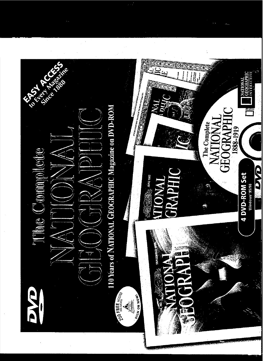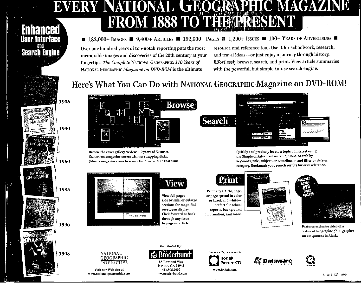## EVERY NATIONAL GEOGRAPHIC C MAGAZINE FROM 1888 TO THE PRESENT

#### $\blacksquare$  182,000+ IMAGES  $\blacksquare$  9,400+ ARTICLES  $\blacksquare$  192,000+ PAGES  $\blacksquare$  1,200+ Issues  $\blacksquare$  100+ Years of Advertising  $\blacksquare$

Over one hundred years of top-notch reporting puts the most memorable images and discoveries of the 20th century at your fingertips. *The Complete* NATIONAL GEOGRAPHIC: *110 Years of* NATIONAL GEOGRAPHIC *Magazine on DVD-ROM* is the ultimate

resource and reference tool. Use it for schoolwork, research, and travel ideas--or just enjoy a journey through history. Effortlessly browse, search, and print. Viewarticle summaries with the powerful, but simple-to-use search engine.

### Here's What You Can Do with NATIONAL GEOGRAPHIC Magazine on DVD-ROM!

**Search** 



**Search Engine** 



Browse the cover gallery to view 110 years of NATIONAL GEOGRAPHIC magazine covers without swapping disks. Select a magazine cover to scan a list of articles in that issue.



NATIONAL GEOGRAPHIC INTERACTIVE

Visit our Web site at www.nationalgeograpltic.com



View full pages side by side, or enlarge sections for magnified on-screen display, Click forward or back through any issue by page or article.

Distributed By:

Novate, CA 94945 4J :'.895.2000 '" oVw.lJroderbund.com

Distributed By:<br>  $\frac{M}{2}$  Broderbus<br>
88 Rowland Way<br>
Novate, CA 9494<br>
41 .sys.com<br>
49 .sys.com



Animatic Control

 $W = 0$ 

Print any article, page, or page spread in color or black and whiteperfect for school reports, background information, and more.

. Ani

PROUDLY SPONSORED By **Kodak** Picture CD www.kedak.com





Features exclusive video of a National Geographic photographer on assignment in Alaska.

*ll( Dataware* 

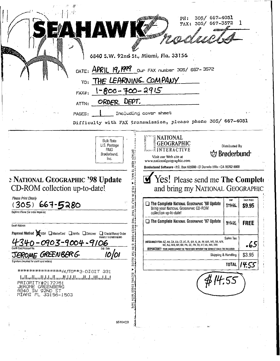|                                                                                                                                                                                                                                                                                                                        |                                                                 |                                                                                                               | 305/<br>YAX:<br><b>Allegia (1977)</b>                                                                                             | 667-3572            |                                                    |                      |
|------------------------------------------------------------------------------------------------------------------------------------------------------------------------------------------------------------------------------------------------------------------------------------------------------------------------|-----------------------------------------------------------------|---------------------------------------------------------------------------------------------------------------|-----------------------------------------------------------------------------------------------------------------------------------|---------------------|----------------------------------------------------|----------------------|
|                                                                                                                                                                                                                                                                                                                        |                                                                 | 6840 S.W. 92nd St., Miami, Fla. 33156                                                                         |                                                                                                                                   |                     |                                                    |                      |
|                                                                                                                                                                                                                                                                                                                        |                                                                 | DATE: APRIL 19, 1999 Our FAX number 305/ 667-3572                                                             |                                                                                                                                   |                     |                                                    |                      |
|                                                                                                                                                                                                                                                                                                                        |                                                                 | TO: THE LEARNING COMPANY                                                                                      |                                                                                                                                   |                     |                                                    |                      |
| FAX#:                                                                                                                                                                                                                                                                                                                  | $1 - 800 - 700 - 2915$                                          |                                                                                                               |                                                                                                                                   |                     |                                                    |                      |
| ATTN:                                                                                                                                                                                                                                                                                                                  | ORDER DEPT.                                                     |                                                                                                               |                                                                                                                                   |                     |                                                    |                      |
| PAGES:                                                                                                                                                                                                                                                                                                                 |                                                                 | Including cover sheet                                                                                         |                                                                                                                                   |                     |                                                    |                      |
|                                                                                                                                                                                                                                                                                                                        |                                                                 | Difficulty with FAX transmission, please phone 305/ 667-4051                                                  |                                                                                                                                   |                     |                                                    |                      |
|                                                                                                                                                                                                                                                                                                                        | <b>Bulk Rate</b><br>U.S. Postage<br>PAID<br>Brøderbund,<br>inc. | <b>NATIONAL</b><br>GEOGRAPHIC<br>INTERACTIVE<br>DETACH<br>Visit our Web site at<br>www.nationalgeographic.com |                                                                                                                                   |                     | Distributed By<br><b>V</b> Brøderbund <sup>®</sup> |                      |
|                                                                                                                                                                                                                                                                                                                        |                                                                 | HERE                                                                                                          | Brøderbund Software · P.O. Box 629000 · El Dorado Hills · CA 95762-9000<br>Yes! Please send me The Complete                       |                     |                                                    |                      |
| $667 - 5280$<br>305)                                                                                                                                                                                                                                                                                                   | ąМ                                                              | 흮<br>ះ!                                                                                                       | and bring my NATIONAL GEOGRAPHIC<br>The Complete National Geographic '98 Update<br>Bring your NATIONAL GEOGRAPHIC CD-ROM          |                     | SPP<br>\$19.95                                     | SALE PRICE<br>\$9.95 |
|                                                                                                                                                                                                                                                                                                                        |                                                                 | collection up-to-date!                                                                                        |                                                                                                                                   |                     |                                                    |                      |
|                                                                                                                                                                                                                                                                                                                        |                                                                 |                                                                                                               | The Complete NATIONAL GEOGRAPHIC '97 Update                                                                                       |                     | \$19.95                                            | <b>FREE</b>          |
| <u>340-0903-9004-9106</u>                                                                                                                                                                                                                                                                                              | Check/Money Order<br>PAYABLE TO BRØDERBUND                      | <b>CHATTHIS ORDER FORM IS</b>                                                                                 | {REQUIRED FOR: AZ, AR, CA, CO, CT, DC, FL, GA, fL, IA, IN, MA, MD, MI, MN.<br>NC, NJ, NM, NY, OH, PA, SC, TN, TX, UT, VA, WA, WI) |                     | Sales Tax                                          | -65                  |
|                                                                                                                                                                                                                                                                                                                        | Exp. Date<br>10/01                                              |                                                                                                               | <b>IMPORTANT!</b> YOUR GRDER CANNOT BE PROCESSED WITHOUT THE CORRECT SALES TAX INCLUDED                                           | Shipping & Handling |                                                    | \$3.95               |
|                                                                                                                                                                                                                                                                                                                        |                                                                 | DN THE INSIDE                                                                                                 |                                                                                                                                   |                     | <b>TOTAL</b>                                       | 14.55                |
| انتا اسالسا الماردان المسالمات المسالساتينا<br>PRIORITY#2172761<br>JEROME GREENBERG<br>6840 SW 92ND ST<br>MIAMI FL 33156-1503                                                                                                                                                                                          |                                                                 | SECURE<br><b>EDGES</b><br>WITH                                                                                |                                                                                                                                   |                     |                                                    |                      |
|                                                                                                                                                                                                                                                                                                                        |                                                                 | IAPE                                                                                                          |                                                                                                                                   |                     |                                                    |                      |
| <b>E NATIONAL GEOGRAPHIC '98 Update</b><br>CD-ROM collection up-to-date!<br>Please Print Clearly<br>Daytime Phone (for order inquiries)<br><b>Email Address</b><br>Payment Method XVISA MasterCard MamEx Discover<br><b>Credit Card Account No.</b><br>JEROME GREENBERG<br>Signature (required for credit card orders) | 55104C3                                                         |                                                                                                               |                                                                                                                                   |                     |                                                    |                      |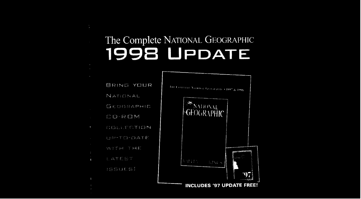# The Complete NATIONAL GEOGRAPHIC **1998 UPDATE**

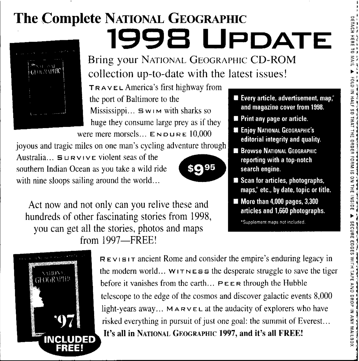#### **The Complete NATIONAL GEOGRAPIllC 199B UPDATE**



Bring your NATIONAL GEOGRAPHIC CD-ROM collection up-to-date with the latest issues!

TRAVEL America's first highway from the port of Baltimore to the Mississippi,  $\therefore$  5 w  $\cup$  with sharks so huge they consume large prey as if they were mere morsels...  $E_{\text{ND URE}} 10,000$ 

joyous and tragic miles on one man's eyeling adventure through Australia...  $\mathbf{S} \cup \mathbf{R} \vee \cup \mathbf{C}$  violent seas of the southern IndianOceanas you take a wildride '. • • with nine sloops sailing around the world...



Act now and not only can you relive these and hundreds of other fascinating stories from 1998, you can get all the stories, photos and maps from 1997-FREE!



 $R$ EVISIT ancient Rome and consider the empire's enduring legacy in the modernworld... WIT N E S <sup>5</sup> the desperatestruggleto save the tiger before it vanishes from the earth...  $P \in \mathbb{R}$  through the Hubble telescope to the edge of the cosmos and discover galactic events 8,000 light-years away... MARVEL at the audacity of explorers who have risked everything in pursuit of just one goal: the summit of Everest... It's all in NATtONAL GEOGRAPHIC 1997, and it's all FREE!

- **• Every article, advertisement** map,' **and magazine cover from 1998.**
- **• Print anypage orarticle.**
- $\blacksquare$  **Enjoy NATIONAL GEOGRAPHIC'S editorial integrity and quality.**
- $\blacksquare$  Browse NATIONAL GEOGRAPHIC **reporting with atop-notch search engine.**
- **Scan for articles, photographs,** maps,\* etc., by date, topic or title.
- More than 4,000 pages, 3,300<br>articles and 1,660 photographs.

\*Supplement maps not included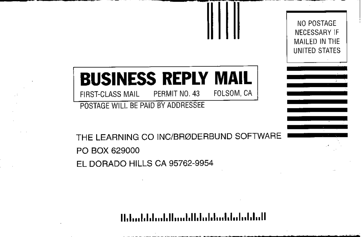# **BUSINESS REPLY MAIL**

NO POSTAGE **NECESSARY IF** MAILED IN THE UNITED STATES

FOLSOM, CA PERMIT NO. 43 FIRST-CLASS MAIL

POSTAGE WILL BE PAID BY ADDRESSEE

THE LEARNING CO INC/BRØDERBUND SOFTWARE PO BOX 629000 FI DORADO HILLS CA 95762-9954

#### Habadahlaah||mahlhlahkaddulublull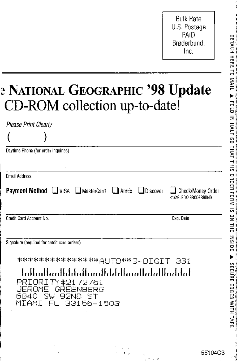**Bulk Rate** U.S. Postage PAID Brøderbund. Inc.

### **E NATIONAL GEOGRAPHIC '98 Update** CD-ROM collection up-to-date!

| Please Print Clearly                                                                                                                                                                                     |                                            |
|----------------------------------------------------------------------------------------------------------------------------------------------------------------------------------------------------------|--------------------------------------------|
|                                                                                                                                                                                                          |                                            |
| Daytime Phone (for order inquiries)                                                                                                                                                                      |                                            |
| <b>Email Address</b>                                                                                                                                                                                     |                                            |
| <b>Payment Method</b> UVISA MasterCard MAMEX Discover                                                                                                                                                    | Check/Money Order<br>PAYABLE TO BRØDERBUND |
| Credit Card Account No.                                                                                                                                                                                  | Exp. Date                                  |
| Signature (required for credit card orders)<br>انتبار المتابات والمساليات المارا المتالين المتالينا<br>PRIORITY#2172761<br>. JEROME.<br>GREENBERG<br>6840 SW 92ND I<br>'ST<br>MIAMI<br>33156–1503<br>EL. |                                            |

**DETACH HERE TO MAIL** HALL  $\frac{2}{3}$ HAT.  $rac{11}{2111}$ ORDER  $\frac{1}{2}$ **UISNI** EDGES

55104C3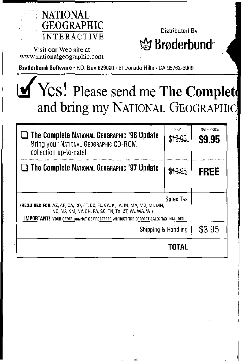

Visit our Web site at www.nationalgeographic.com

Distributed By ☆ Brøderbund

Braderhund **Software·** P.O. Box 629000· EI Dorado Hills· CA 95762-9000

# Yes! Please send me **The Complet** and bring my NATIONAL GEOGRAPHIC

| $\Box$ The Complete National Geographic '98 Update<br>Bring your NATIONAL GEOGRAPHIC CD-ROM<br>collection up-to-date!                                                                                                 | SRP<br>11.95. | SALE PRICE<br>S9.95 |
|-----------------------------------------------------------------------------------------------------------------------------------------------------------------------------------------------------------------------|---------------|---------------------|
| $\Box$ The Complete National Geographic '97 Update                                                                                                                                                                    |               | FREE                |
| (REQUIRED FOR: AZ, AR, CA, CO, CT, DC, FL, GA, IL, IA, IN, MA, MD, MI, MN,<br>NC. NJ. NM. NY. OH. PA. SC. TN. TX. UT. VA. WA. WI)<br>IMPORTANT! YOUR ORDER CANNOT BE PROCESSED WITHOUT THE CORRECT SALES TAX INCLUDED |               |                     |
| Shipping & Handling                                                                                                                                                                                                   | \$3.95        |                     |
|                                                                                                                                                                                                                       | TOTAL         |                     |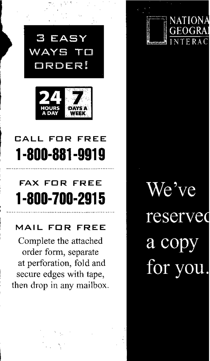

### **CALL FOR FREE 1·800·881·9919**

### **FAX FOR FREE 1·800·700·2915**

#### **MAIL FOR FREE**

Complete the attached order form, separate at perforation, fold and secure edges with tape, then drop in any mailbox. We've reserved a copy for you

TIONA

ERA (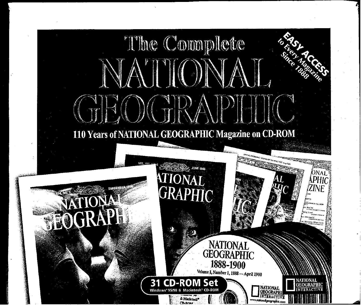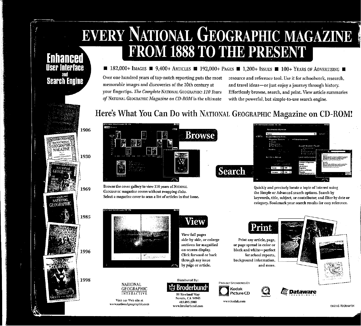# EVERY NATIONAL GEOGRAPHIC MAGAZINE **FROM 1888 TO THE PRESENT** Fnhancer

### $\blacksquare$  182,000+ IMAGES  $\blacksquare$  9,400+ ARTICLES  $\blacksquare$  192,000+ PAGES  $\blacksquare$  1,200+ ISSUES  $\blacksquare$  100+ YEARS OF ADVERTISING  $\blacksquare$

Over one hundred years of top-notch reporting puts the most memorable images and discoveries of the 20th century at your fingertips. The Complete NATIONAL GEOGRAPHIC: 110 Years *of* NATIONAL GEOGRAPHIC *Magazine on CD-ROM* is the ultimate

resource and reference tool. Use it for schoolwork, research, and travel ideas-or just enjoy a journey through history. Effortlessly browse, search, and print. View article summaries with the powerful, but simple-to-use search engine.

## Here's What You Can Do with NATIONAL GEOGRAPHIC Magazine on CD-ROM!



Browse the cover gallery to view 110 years of NATIONAL GEOGRAPHIC magazine covers without swapping disks. Select a magazine cover to scan a list of articles in that issue.



NATIONAL **GEOGRAPHIC** INTERACTIVE Visit our Web site at \\'ww.lIationalgcographic.cum



side-by-side, or enlarge sections for magnified on-screen display. Click forward or back through any issue by page or article.



Distributed By:<br>  $\frac{M}{88}$  Rowland Way<br>
Novato, CA 9494,<br>
415.895.2000<br>
www.broderbund.co Novato, CA 94945 415.895.2000 www.brederbund.com

PROUDLY SPONSORED By Kodak<br>Picture CD

www.kodak.com



and more.



Quickly and precisely locate a topic of interest using the Simple or Advanced search options. Search by keywords, title, subject, or contributor, and filter by date or category. Bookmark your search results for easy reference.

Print

Print any article, page, or page spread in color or black and white-perfect for school reports, background information,



Dataware

CNG7AE-TBX/I069FQX



**Search Engine** 

1906